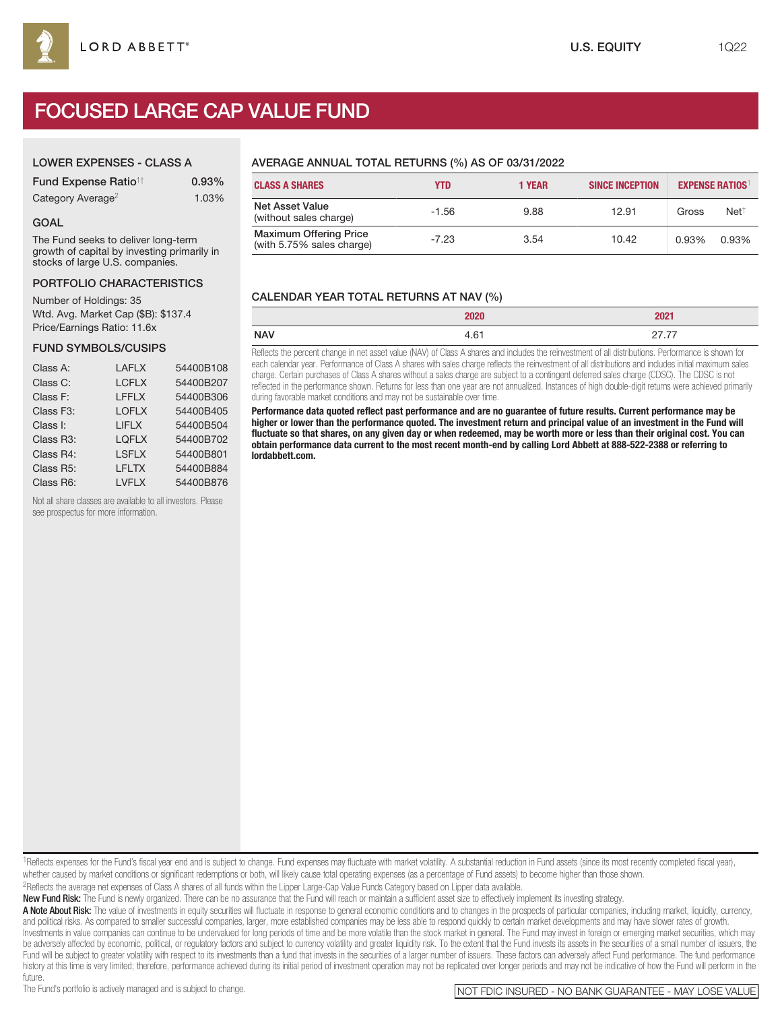## LOWER EXPENSES - CLASS A

| <b>Fund Expense Ratio<sup>1†</sup></b> | 0.93% |
|----------------------------------------|-------|
| Category Average <sup>2</sup>          | 1.03% |

### GOAL

The Fund seeks to deliver long-term growth of capital by investing primarily in stocks of large U.S. companies.

## PORTFOLIO CHARACTERISTICS

Number of Holdings: 35 Wtd. Avg. Market Cap (\$B): \$137.4 Price/Earnings Ratio: 11.6x

### FUND SYMBOLS/CUSIPS

| Class A:  | <b>LAFLX</b> | 54400B108 |
|-----------|--------------|-----------|
| Class C:  | <b>LCFLX</b> | 54400B207 |
| Class F:  | LFFLX        | 54400B306 |
| Class F3: | <b>LOFLX</b> | 54400B405 |
| Class I:  | <b>LIFLX</b> | 54400B504 |
| Class R3: | <b>LOFLX</b> | 54400B702 |
| Class R4: | <b>LSFLX</b> | 54400B801 |
| Class R5: | LFLTX        | 54400B884 |
| Class R6: | <b>LVFLX</b> | 54400B876 |
|           |              |           |

Not all share classes are available to all investors. Please see prospectus for more information.

# AVERAGE ANNUAL TOTAL RETURNS (%) AS OF 03/31/2022

| <b>CLASS A SHARES</b>                                      | YTD     | <b>1 YEAR</b> | <b>SINCE INCEPTION</b> |       | <b>EXPENSE RATIOS</b> |
|------------------------------------------------------------|---------|---------------|------------------------|-------|-----------------------|
| <b>Net Asset Value</b><br>(without sales charge)           | $-1.56$ | 9.88          | 12.91                  | Gross | $Net^{\dagger}$       |
| <b>Maximum Offering Price</b><br>(with 5.75% sales charge) | $-7.23$ | 3.54          | 10.42                  | 0.93% | 0.93%                 |

# CALENDAR YEAR TOTAL RETURNS AT NAV (%)

|            | 000 <sup>2</sup><br><b>SULU</b> | 2021                      |
|------------|---------------------------------|---------------------------|
| <b>NAV</b> | $\sim$<br>9.∪                   | $- -$<br><u>_ , , , ,</u> |

Reflects the percent change in net asset value (NAV) of Class A shares and includes the reinvestment of all distributions. Performance is shown for each calendar year. Performance of Class A shares with sales charge reflects the reinvestment of all distributions and includes initial maximum sales charge. Certain purchases of Class A shares without a sales charge are subject to a contingent deferred sales charge (CDSC). The CDSC is not reflected in the performance shown. Returns for less than one year are not annualized. Instances of high double-digit returns were achieved primarily during favorable market conditions and may not be sustainable over time.

**Performance data quoted reflect past performance and are no guarantee of future results. Current performance may be higher or lower than the performance quoted. The investment return and principal value of an investment in the Fund will fluctuate so that shares, on any given day or when redeemed, may be worth more or less than their original cost. You can obtain performance data current to the most recent month-end by calling Lord Abbett at 888-522-2388 or referring to lordabbett.com.**

1Reflects expenses for the Fund's fiscal year end and is subject to change. Fund expenses may fluctuate with market volatility. A substantial reduction in Fund assets (since its most recently completed fiscal year), whether caused by market conditions or significant redemptions or both, will likely cause total operating expenses (as a percentage of Fund assets) to become higher than those shown.

2Reflects the average net expenses of Class A shares of all funds within the Lipper Large-Cap Value Funds Category based on Lipper data available.

New Fund Risk: The Fund is newly organized. There can be no assurance that the Fund will reach or maintain a sufficient asset size to effectively implement its investing strategy.

A Note About Risk: The value of investments in equity securities will fluctuate in response to general economic conditions and to changes in the prospects of particular companies, including market, liquidity, currency, and political risks. As compared to smaller successful companies, larger, more established companies may be less able to respond quickly to certain market developments and may have slower rates of growth. Investments in value companies can continue to be undervalued for long periods of time and be more volatile than the stock market in general. The Fund may invest in foreign or emerging market securities, which may be adversely affected by economic, political, or regulatory factors and subject to currency volatility and greater liquidity risk. To the extent that the Fund invests its assets in the securities of a small number of issue Fund will be subject to greater volatility with respect to its investments than a fund that invests in the securities of a larger number of issuers. These factors can adversely affect Fund performance. The fund performance history at this time is very limited; therefore, performance achieved during its initial period of investment operation may not be replicated over longer periods and may not be indicative of how the Fund will perform in th

future.<br>The Fund's portfolio is actively managed and is subject to change.